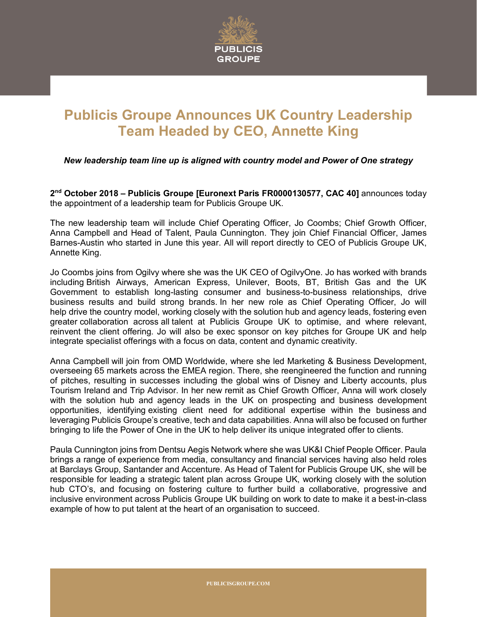

## **Publicis Groupe Announces UK Country Leadership Team Headed by CEO, Annette King**

*New leadership team line up is aligned with country model and Power of One strategy*

**2nd October 2018 – Publicis Groupe [Euronext Paris FR0000130577, CAC 40]** announces today the appointment of a leadership team for Publicis Groupe UK.

The new leadership team will include Chief Operating Officer, Jo Coombs; Chief Growth Officer, Anna Campbell and Head of Talent, Paula Cunnington. They join Chief Financial Officer, James Barnes-Austin who started in June this year. All will report directly to CEO of Publicis Groupe UK, Annette King.

Jo Coombs joins from Ogilvy where she was the UK CEO of OgilvyOne. Jo has worked with brands including British Airways, American Express, Unilever, Boots, BT, British Gas and the UK Government to establish long-lasting consumer and business-to-business relationships, drive business results and build strong brands. In her new role as Chief Operating Officer, Jo will help drive the country model, working closely with the solution hub and agency leads, fostering even greater collaboration across all talent at Publicis Groupe UK to optimise, and where relevant, reinvent the client offering. Jo will also be exec sponsor on key pitches for Groupe UK and help integrate specialist offerings with a focus on data, content and dynamic creativity.

Anna Campbell will join from OMD Worldwide, where she led Marketing & Business Development, overseeing 65 markets across the EMEA region. There, she reengineered the function and running of pitches, resulting in successes including the global wins of Disney and Liberty accounts, plus Tourism Ireland and Trip Advisor. In her new remit as Chief Growth Officer, Anna will work closely with the solution hub and agency leads in the UK on prospecting and business development opportunities, identifying existing client need for additional expertise within the business and leveraging Publicis Groupe's creative, tech and data capabilities. Anna will also be focused on further bringing to life the Power of One in the UK to help deliver its unique integrated offer to clients.

Paula Cunnington joins from Dentsu Aegis Network where she was UK&I Chief People Officer. Paula brings a range of experience from media, consultancy and financial services having also held roles at Barclays Group, Santander and Accenture. As Head of Talent for Publicis Groupe UK, she will be responsible for leading a strategic talent plan across Groupe UK, working closely with the solution hub CTO's, and focusing on fostering culture to further build a collaborative, progressive and inclusive environment across Publicis Groupe UK building on work to date to make it a best-in-class example of how to put talent at the heart of an organisation to succeed.